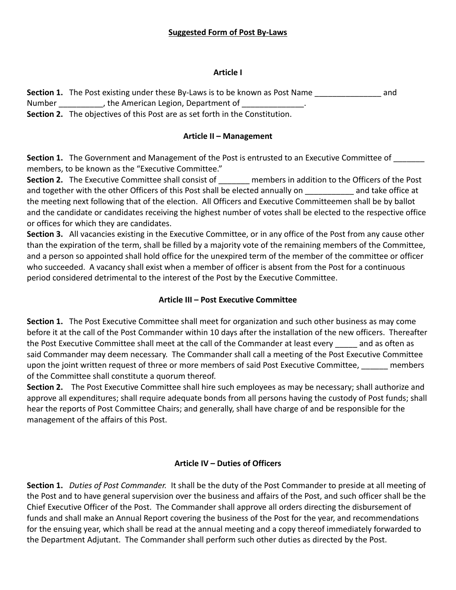## **Article I**

**Section 1.** The Post existing under these By-Laws is to be known as Post Name \_\_\_\_\_\_\_\_\_\_\_\_\_\_\_\_\_ and Number The American Legion, Department of

**Section 2.** The objectives of this Post are as set forth in the Constitution.

# **Article II – Management**

Section 1. The Government and Management of the Post is entrusted to an Executive Committee of \_\_\_\_\_\_ members, to be known as the "Executive Committee."

**Section 2.** The Executive Committee shall consist of **we members in addition to the Officers of the Post** and together with the other Officers of this Post shall be elected annually on and take office at the meeting next following that of the election. All Officers and Executive Committeemen shall be by ballot and the candidate or candidates receiving the highest number of votes shall be elected to the respective office or offices for which they are candidates.

**Section 3.** All vacancies existing in the Executive Committee, or in any office of the Post from any cause other than the expiration of the term, shall be filled by a majority vote of the remaining members of the Committee, and a person so appointed shall hold office for the unexpired term of the member of the committee or officer who succeeded. A vacancy shall exist when a member of officer is absent from the Post for a continuous period considered detrimental to the interest of the Post by the Executive Committee.

# **Article III – Post Executive Committee**

**Section 1.** The Post Executive Committee shall meet for organization and such other business as may come before it at the call of the Post Commander within 10 days after the installation of the new officers. Thereafter the Post Executive Committee shall meet at the call of the Commander at least every \_\_\_\_\_ and as often as said Commander may deem necessary. The Commander shall call a meeting of the Post Executive Committee upon the joint written request of three or more members of said Post Executive Committee, \_\_\_\_\_\_ members of the Committee shall constitute a quorum thereof.

**Section 2.** The Post Executive Committee shall hire such employees as may be necessary; shall authorize and approve all expenditures; shall require adequate bonds from all persons having the custody of Post funds; shall hear the reports of Post Committee Chairs; and generally, shall have charge of and be responsible for the management of the affairs of this Post.

# **Article IV – Duties of Officers**

**Section 1.** *Duties of Post Commander.* It shall be the duty of the Post Commander to preside at all meeting of the Post and to have general supervision over the business and affairs of the Post, and such officer shall be the Chief Executive Officer of the Post. The Commander shall approve all orders directing the disbursement of funds and shall make an Annual Report covering the business of the Post for the year, and recommendations for the ensuing year, which shall be read at the annual meeting and a copy thereof immediately forwarded to the Department Adjutant. The Commander shall perform such other duties as directed by the Post.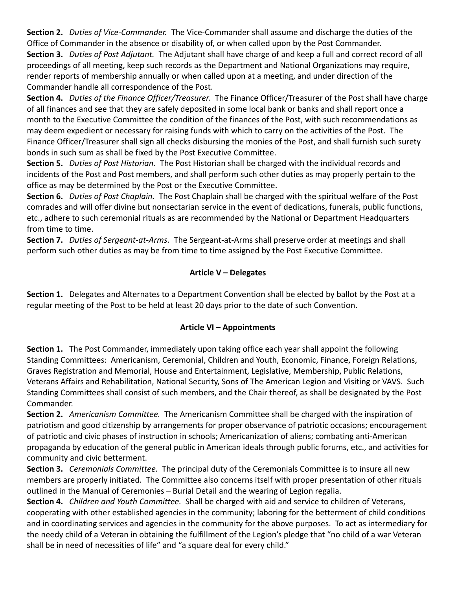**Section 2.** *Duties of Vice-Commander.* The Vice-Commander shall assume and discharge the duties of the Office of Commander in the absence or disability of, or when called upon by the Post Commander. **Section 3.** *Duties of Post Adjutant.* The Adjutant shall have charge of and keep a full and correct record of all proceedings of all meeting, keep such records as the Department and National Organizations may require, render reports of membership annually or when called upon at a meeting, and under direction of the Commander handle all correspondence of the Post.

**Section 4.** *Duties of the Finance Officer/Treasurer.* The Finance Officer/Treasurer of the Post shall have charge of all finances and see that they are safely deposited in some local bank or banks and shall report once a month to the Executive Committee the condition of the finances of the Post, with such recommendations as may deem expedient or necessary for raising funds with which to carry on the activities of the Post. The Finance Officer/Treasurer shall sign all checks disbursing the monies of the Post, and shall furnish such surety bonds in such sum as shall be fixed by the Post Executive Committee.

**Section 5.** *Duties of Post Historian.* The Post Historian shall be charged with the individual records and incidents of the Post and Post members, and shall perform such other duties as may properly pertain to the office as may be determined by the Post or the Executive Committee.

**Section 6.** *Duties of Post Chaplain.* The Post Chaplain shall be charged with the spiritual welfare of the Post comrades and will offer divine but nonsectarian service in the event of dedications, funerals, public functions, etc., adhere to such ceremonial rituals as are recommended by the National or Department Headquarters from time to time.

**Section 7.** *Duties of Sergeant-at-Arms.* The Sergeant-at-Arms shall preserve order at meetings and shall perform such other duties as may be from time to time assigned by the Post Executive Committee.

## **Article V – Delegates**

**Section 1.** Delegates and Alternates to a Department Convention shall be elected by ballot by the Post at a regular meeting of the Post to be held at least 20 days prior to the date of such Convention.

#### **Article VI – Appointments**

**Section 1.** The Post Commander, immediately upon taking office each year shall appoint the following Standing Committees: Americanism, Ceremonial, Children and Youth, Economic, Finance, Foreign Relations, Graves Registration and Memorial, House and Entertainment, Legislative, Membership, Public Relations, Veterans Affairs and Rehabilitation, National Security, Sons of The American Legion and Visiting or VAVS. Such Standing Committees shall consist of such members, and the Chair thereof, as shall be designated by the Post Commander.

**Section 2.** *Americanism Committee.* The Americanism Committee shall be charged with the inspiration of patriotism and good citizenship by arrangements for proper observance of patriotic occasions; encouragement of patriotic and civic phases of instruction in schools; Americanization of aliens; combating anti-American propaganda by education of the general public in American ideals through public forums, etc., and activities for community and civic betterment.

**Section 3.** *Ceremonials Committee.* The principal duty of the Ceremonials Committee is to insure all new members are properly initiated. The Committee also concerns itself with proper presentation of other rituals outlined in the Manual of Ceremonies – Burial Detail and the wearing of Legion regalia.

**Section 4.** *Children and Youth Committee.* Shall be charged with aid and service to children of Veterans, cooperating with other established agencies in the community; laboring for the betterment of child conditions and in coordinating services and agencies in the community for the above purposes. To act as intermediary for the needy child of a Veteran in obtaining the fulfillment of the Legion's pledge that "no child of a war Veteran shall be in need of necessities of life" and "a square deal for every child."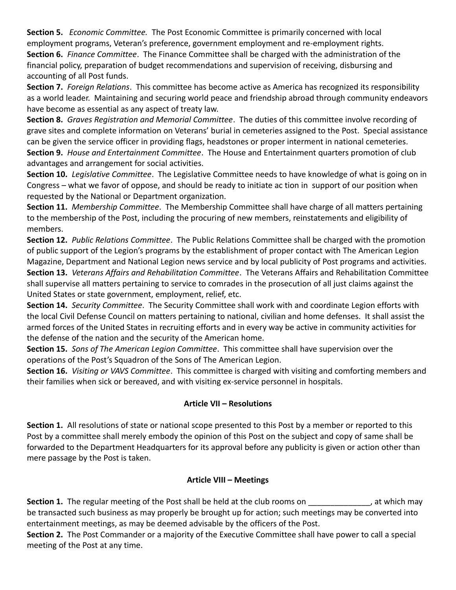**Section 5.** *Economic Committee.* The Post Economic Committee is primarily concerned with local employment programs, Veteran's preference, government employment and re-employment rights. **Section 6.** *Finance Committee*. The Finance Committee shall be charged with the administration of the financial policy, preparation of budget recommendations and supervision of receiving, disbursing and accounting of all Post funds.

**Section 7.** *Foreign Relations*. This committee has become active as America has recognized its responsibility as a world leader. Maintaining and securing world peace and friendship abroad through community endeavors have become as essential as any aspect of treaty law.

**Section 8.** *Graves Registration and Memorial Committee*. The duties of this committee involve recording of grave sites and complete information on Veterans' burial in cemeteries assigned to the Post. Special assistance can be given the service officer in providing flags, headstones or proper interment in national cemeteries. **Section 9.** *House and Entertainment Committee*. The House and Entertainment quarters promotion of club advantages and arrangement for social activities.

**Section 10.** *Legislative Committee*. The Legislative Committee needs to have knowledge of what is going on in Congress – what we favor of oppose, and should be ready to initiate ac tion in support of our position when requested by the National or Department organization.

**Section 11.** *Membership Committee*. The Membership Committee shall have charge of all matters pertaining to the membership of the Post, including the procuring of new members, reinstatements and eligibility of members.

**Section 12.** *Public Relations Committee*. The Public Relations Committee shall be charged with the promotion of public support of the Legion's programs by the establishment of proper contact with The American Legion Magazine, Department and National Legion news service and by local publicity of Post programs and activities. **Section 13.** *Veterans Affairs and Rehabilitation Committee*. The Veterans Affairs and Rehabilitation Committee shall supervise all matters pertaining to service to comrades in the prosecution of all just claims against the

United States or state government, employment, relief, etc.

**Section 14.** *Security Committee*. The Security Committee shall work with and coordinate Legion efforts with the local Civil Defense Council on matters pertaining to national, civilian and home defenses. It shall assist the armed forces of the United States in recruiting efforts and in every way be active in community activities for the defense of the nation and the security of the American home.

**Section 15.** *Sons of The American Legion Committee*. This committee shall have supervision over the operations of the Post's Squadron of the Sons of The American Legion.

**Section 16.** *Visiting or VAVS Committee*. This committee is charged with visiting and comforting members and their families when sick or bereaved, and with visiting ex-service personnel in hospitals.

# **Article VII – Resolutions**

**Section 1.** All resolutions of state or national scope presented to this Post by a member or reported to this Post by a committee shall merely embody the opinion of this Post on the subject and copy of same shall be forwarded to the Department Headquarters for its approval before any publicity is given or action other than mere passage by the Post is taken.

#### **Article VIII – Meetings**

**Section 1.** The regular meeting of the Post shall be held at the club rooms on  $\qquad \qquad$ , at which may be transacted such business as may properly be brought up for action; such meetings may be converted into entertainment meetings, as may be deemed advisable by the officers of the Post.

**Section 2.** The Post Commander or a majority of the Executive Committee shall have power to call a special meeting of the Post at any time.